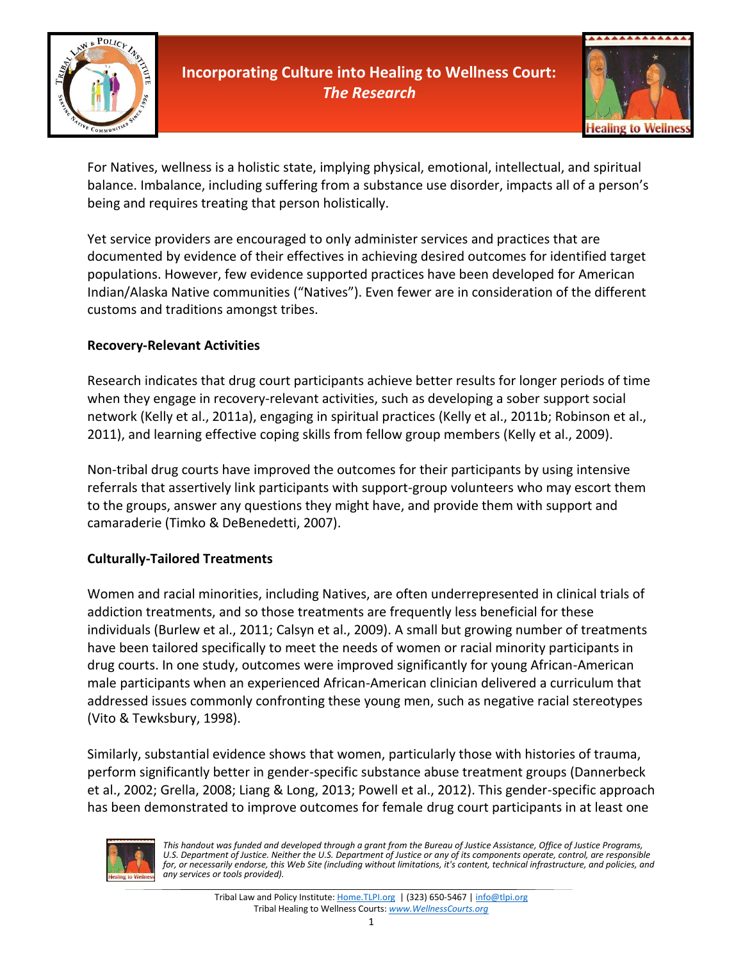

# **Incorporating Culture into Healing to Wellness Court:**  *The Research*



For Natives, wellness is a holistic state, implying physical, emotional, intellectual, and spiritual balance. Imbalance, including suffering from a substance use disorder, impacts all of a person's being and requires treating that person holistically.

Yet service providers are encouraged to only administer services and practices that are documented by evidence of their effectives in achieving desired outcomes for identified target populations. However, few evidence supported practices have been developed for American Indian/Alaska Native communities ("Natives"). Even fewer are in consideration of the different customs and traditions amongst tribes.

#### **Recovery-Relevant Activities**

Research indicates that drug court participants achieve better results for longer periods of time when they engage in recovery-relevant activities, such as developing a sober support social network (Kelly et al., 2011a), engaging in spiritual practices (Kelly et al., 2011b; Robinson et al., 2011), and learning effective coping skills from fellow group members (Kelly et al., 2009).

Non-tribal drug courts have improved the outcomes for their participants by using intensive referrals that assertively link participants with support-group volunteers who may escort them to the groups, answer any questions they might have, and provide them with support and camaraderie (Timko & DeBenedetti, 2007).

#### **Culturally-Tailored Treatments**

Women and racial minorities, including Natives, are often underrepresented in clinical trials of addiction treatments, and so those treatments are frequently less beneficial for these individuals (Burlew et al., 2011; Calsyn et al., 2009). A small but growing number of treatments have been tailored specifically to meet the needs of women or racial minority participants in drug courts. In one study, outcomes were improved significantly for young African-American male participants when an experienced African-American clinician delivered a curriculum that addressed issues commonly confronting these young men, such as negative racial stereotypes (Vito & Tewksbury, 1998).

Similarly, substantial evidence shows that women, particularly those with histories of trauma, perform significantly better in gender-specific substance abuse treatment groups (Dannerbeck et al., 2002; Grella, 2008; Liang & Long, 2013; Powell et al., 2012). This gender-specific approach has been demonstrated to improve outcomes for female drug court participants in at least one



*This handout was funded and developed through a grant from the Bureau of Justice Assistance, Office of Justice Programs, U.S. Department of Justice. Neither the U.S. Department of Justice or any of its components operate, control, are responsible for, or necessarily endorse, this Web Site (including without limitations, it's content, technical infrastructure, and policies, and any services or tools provided).*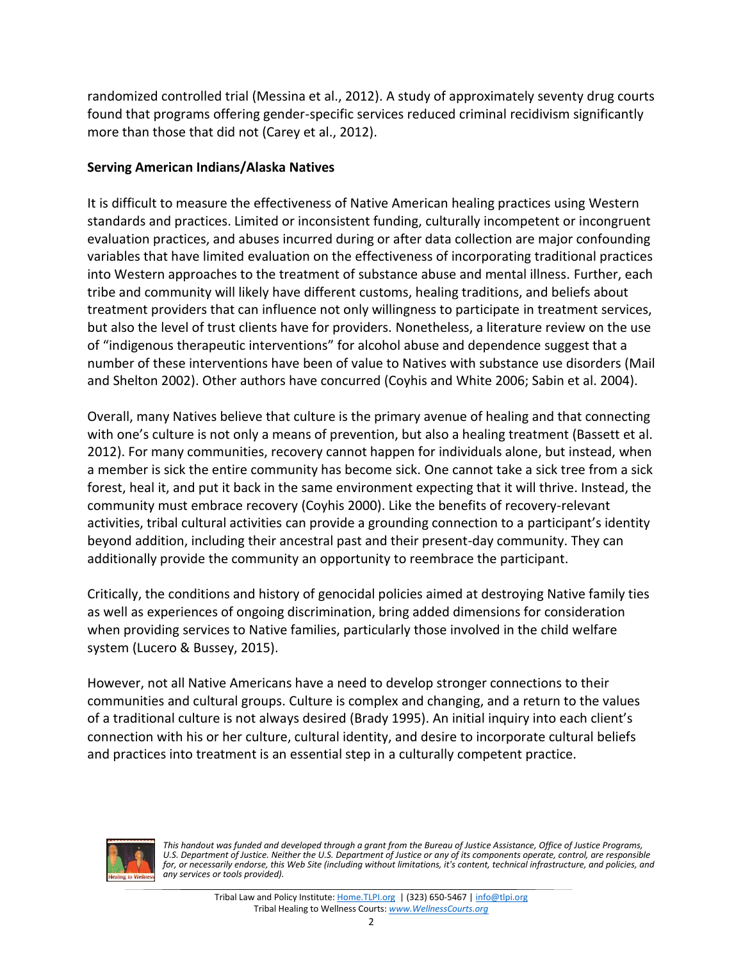randomized controlled trial (Messina et al., 2012). A study of approximately seventy drug courts found that programs offering gender-specific services reduced criminal recidivism significantly more than those that did not (Carey et al., 2012).

### **Serving American Indians/Alaska Natives**

It is difficult to measure the effectiveness of Native American healing practices using Western standards and practices. Limited or inconsistent funding, culturally incompetent or incongruent evaluation practices, and abuses incurred during or after data collection are major confounding variables that have limited evaluation on the effectiveness of incorporating traditional practices into Western approaches to the treatment of substance abuse and mental illness. Further, each tribe and community will likely have different customs, healing traditions, and beliefs about treatment providers that can influence not only willingness to participate in treatment services, but also the level of trust clients have for providers. Nonetheless, a literature review on the use of "indigenous therapeutic interventions" for alcohol abuse and dependence suggest that a number of these interventions have been of value to Natives with substance use disorders (Mail and Shelton 2002). Other authors have concurred (Coyhis and White 2006; Sabin et al. 2004).

Overall, many Natives believe that culture is the primary avenue of healing and that connecting with one's culture is not only a means of prevention, but also a healing treatment (Bassett et al. 2012). For many communities, recovery cannot happen for individuals alone, but instead, when a member is sick the entire community has become sick. One cannot take a sick tree from a sick forest, heal it, and put it back in the same environment expecting that it will thrive. Instead, the community must embrace recovery (Coyhis 2000). Like the benefits of recovery-relevant activities, tribal cultural activities can provide a grounding connection to a participant's identity beyond addition, including their ancestral past and their present-day community. They can additionally provide the community an opportunity to reembrace the participant.

Critically, the conditions and history of genocidal policies aimed at destroying Native family ties as well as experiences of ongoing discrimination, bring added dimensions for consideration when providing services to Native families, particularly those involved in the child welfare system (Lucero & Bussey, 2015).

However, not all Native Americans have a need to develop stronger connections to their communities and cultural groups. Culture is complex and changing, and a return to the values of a traditional culture is not always desired (Brady 1995). An initial inquiry into each client's connection with his or her culture, cultural identity, and desire to incorporate cultural beliefs and practices into treatment is an essential step in a culturally competent practice.



*This handout was funded and developed through a grant from the Bureau of Justice Assistance, Office of Justice Programs, U.S. Department of Justice. Neither the U.S. Department of Justice or any of its components operate, control, are responsible* for, or necessarily endorse, this Web Site (including without limitations, it's content, technical infrastructure, and policies, and *any services or tools provided).*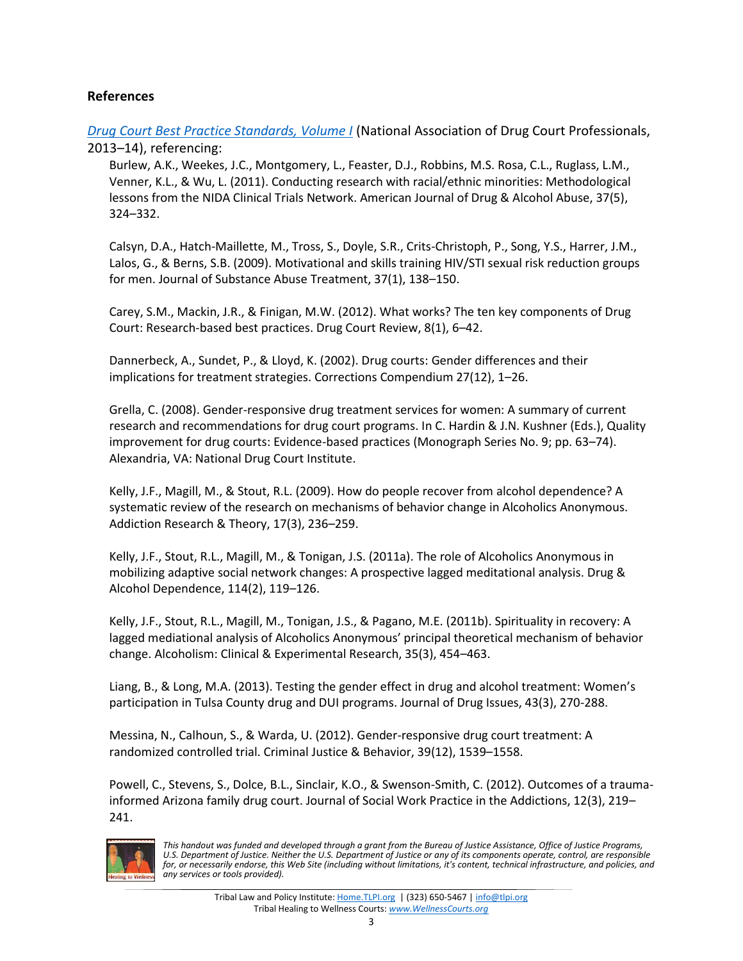#### **References**

*[Drug Court Best Practice Standards, Volume I](http://www.nadcp.org/sites/default/files/nadcp/AdultDrugCourtBestPracticeStandards.pdf)* (National Association of Drug Court Professionals, 2013–14), referencing:

Burlew, A.K., Weekes, J.C., Montgomery, L., Feaster, D.J., Robbins, M.S. Rosa, C.L., Ruglass, L.M., Venner, K.L., & Wu, L. (2011). Conducting research with racial/ethnic minorities: Methodological lessons from the NIDA Clinical Trials Network. American Journal of Drug & Alcohol Abuse, 37(5), 324–332.

Calsyn, D.A., Hatch-Maillette, M., Tross, S., Doyle, S.R., Crits-Christoph, P., Song, Y.S., Harrer, J.M., Lalos, G., & Berns, S.B. (2009). Motivational and skills training HIV/STI sexual risk reduction groups for men. Journal of Substance Abuse Treatment, 37(1), 138–150.

Carey, S.M., Mackin, J.R., & Finigan, M.W. (2012). What works? The ten key components of Drug Court: Research-based best practices. Drug Court Review, 8(1), 6–42.

Dannerbeck, A., Sundet, P., & Lloyd, K. (2002). Drug courts: Gender differences and their implications for treatment strategies. Corrections Compendium 27(12), 1–26.

Grella, C. (2008). Gender-responsive drug treatment services for women: A summary of current research and recommendations for drug court programs. In C. Hardin & J.N. Kushner (Eds.), Quality improvement for drug courts: Evidence-based practices (Monograph Series No. 9; pp. 63–74). Alexandria, VA: National Drug Court Institute.

Kelly, J.F., Magill, M., & Stout, R.L. (2009). How do people recover from alcohol dependence? A systematic review of the research on mechanisms of behavior change in Alcoholics Anonymous. Addiction Research & Theory, 17(3), 236–259.

Kelly, J.F., Stout, R.L., Magill, M., & Tonigan, J.S. (2011a). The role of Alcoholics Anonymous in mobilizing adaptive social network changes: A prospective lagged meditational analysis. Drug & Alcohol Dependence, 114(2), 119–126.

Kelly, J.F., Stout, R.L., Magill, M., Tonigan, J.S., & Pagano, M.E. (2011b). Spirituality in recovery: A lagged mediational analysis of Alcoholics Anonymous' principal theoretical mechanism of behavior change. Alcoholism: Clinical & Experimental Research, 35(3), 454–463.

Liang, B., & Long, M.A. (2013). Testing the gender effect in drug and alcohol treatment: Women's participation in Tulsa County drug and DUI programs. Journal of Drug Issues, 43(3), 270-288.

Messina, N., Calhoun, S., & Warda, U. (2012). Gender-responsive drug court treatment: A randomized controlled trial. Criminal Justice & Behavior, 39(12), 1539–1558.

Powell, C., Stevens, S., Dolce, B.L., Sinclair, K.O., & Swenson-Smith, C. (2012). Outcomes of a traumainformed Arizona family drug court. Journal of Social Work Practice in the Addictions, 12(3), 219– 241.



*This handout was funded and developed through a grant from the Bureau of Justice Assistance, Office of Justice Programs, U.S. Department of Justice. Neither the U.S. Department of Justice or any of its components operate, control, are responsible for, or necessarily endorse, this Web Site (including without limitations, it's content, technical infrastructure, and policies, and any services or tools provided).*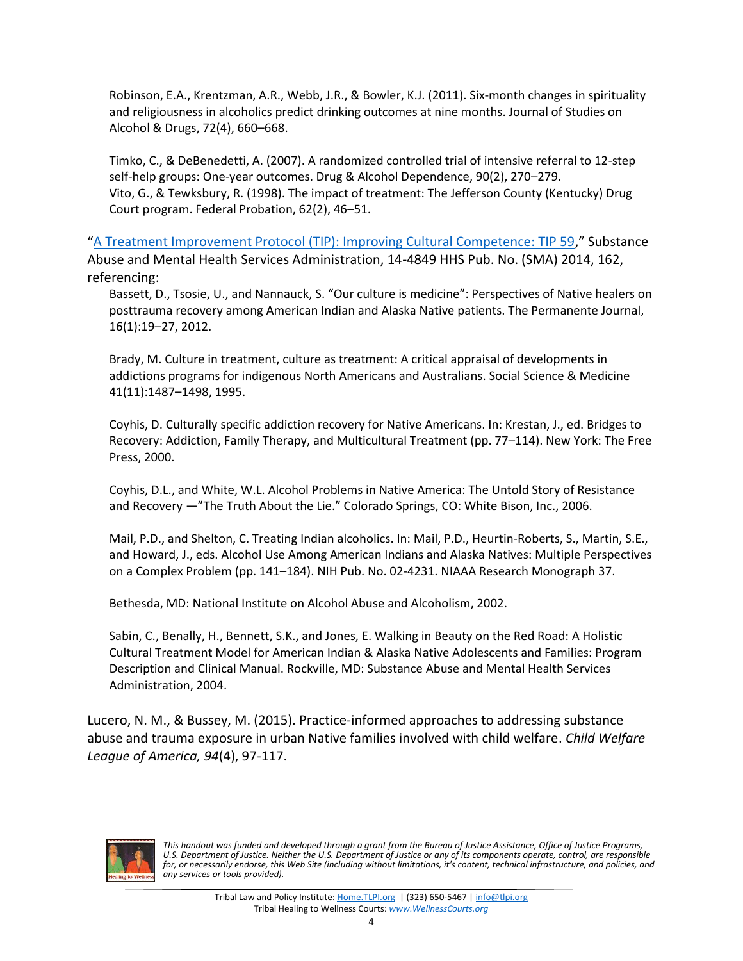Robinson, E.A., Krentzman, A.R., Webb, J.R., & Bowler, K.J. (2011). Six-month changes in spirituality and religiousness in alcoholics predict drinking outcomes at nine months. Journal of Studies on Alcohol & Drugs, 72(4), 660–668.

Timko, C., & DeBenedetti, A. (2007). A randomized controlled trial of intensive referral to 12-step self-help groups: One-year outcomes. Drug & Alcohol Dependence, 90(2), 270–279. Vito, G., & Tewksbury, R. (1998). The impact of treatment: The Jefferson County (Kentucky) Drug Court program. Federal Probation, 62(2), 46–51.

"[A Treatment Improvement Protocol \(TIP\): Improving Cultural Competence: TIP 59](http://store.samhsa.gov/shin/content/SMA14-4849/SMA14-4849.pdf)," Substance Abuse and Mental Health Services Administration, 14-4849 HHS Pub. No. (SMA) 2014, 162, referencing:

Bassett, D., Tsosie, U., and Nannauck, S. "Our culture is medicine": Perspectives of Native healers on posttrauma recovery among American Indian and Alaska Native patients. The Permanente Journal, 16(1):19–27, 2012.

Brady, M. Culture in treatment, culture as treatment: A critical appraisal of developments in addictions programs for indigenous North Americans and Australians. Social Science & Medicine 41(11):1487–1498, 1995.

Coyhis, D. Culturally specific addiction recovery for Native Americans. In: Krestan, J., ed. Bridges to Recovery: Addiction, Family Therapy, and Multicultural Treatment (pp. 77–114). New York: The Free Press, 2000.

Coyhis, D.L., and White, W.L. Alcohol Problems in Native America: The Untold Story of Resistance and Recovery —"The Truth About the Lie." Colorado Springs, CO: White Bison, Inc., 2006.

Mail, P.D., and Shelton, C. Treating Indian alcoholics. In: Mail, P.D., Heurtin-Roberts, S., Martin, S.E., and Howard, J., eds. Alcohol Use Among American Indians and Alaska Natives: Multiple Perspectives on a Complex Problem (pp. 141–184). NIH Pub. No. 02-4231. NIAAA Research Monograph 37.

Bethesda, MD: National Institute on Alcohol Abuse and Alcoholism, 2002.

Sabin, C., Benally, H., Bennett, S.K., and Jones, E. Walking in Beauty on the Red Road: A Holistic Cultural Treatment Model for American Indian & Alaska Native Adolescents and Families: Program Description and Clinical Manual. Rockville, MD: Substance Abuse and Mental Health Services Administration, 2004.

Lucero, N. M., & Bussey, M. (2015). Practice-informed approaches to addressing substance abuse and trauma exposure in urban Native families involved with child welfare. *Child Welfare League of America, 94*(4), 97-117.



*This handout was funded and developed through a grant from the Bureau of Justice Assistance, Office of Justice Programs, U.S. Department of Justice. Neither the U.S. Department of Justice or any of its components operate, control, are responsible* for, or necessarily endorse, this Web Site (including without limitations, it's content, technical infrastructure, and policies, and *any services or tools provided).*